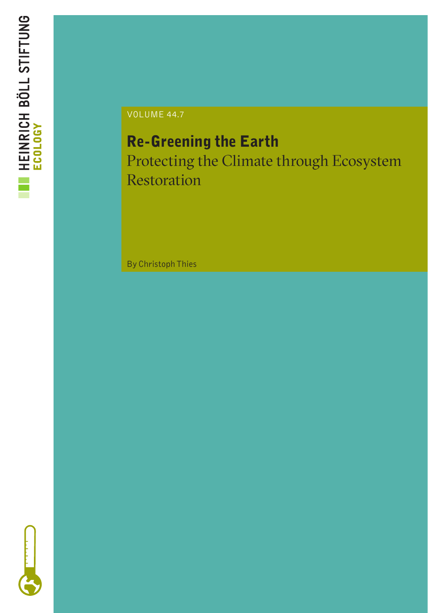

VOLUME 44.7

## Re-Greening the Earth Protecting the Climate through Ecosystem

Restoration

By Christoph Thies

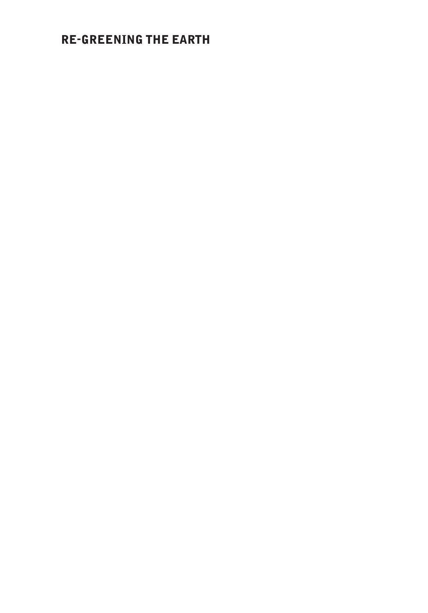## RE-GREENING THE EARTH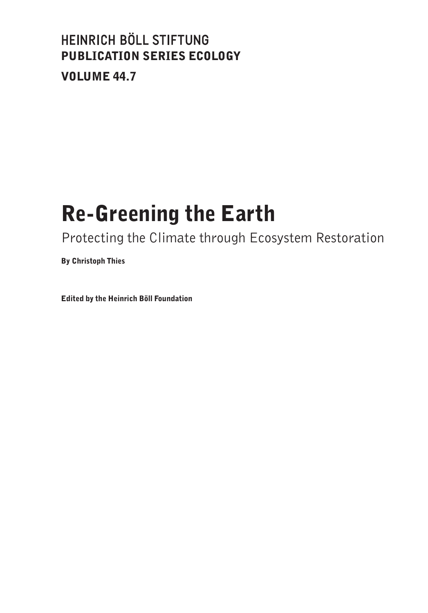## HEINRICH BÖLL STIFTUNG PUBLICATION SERIES ECOLOGY VOLUME 44.7

# Re-Greening the Earth

Protecting the Climate through Ecosystem Restoration

By Christoph Thies

Edited by the Heinrich Böll Foundation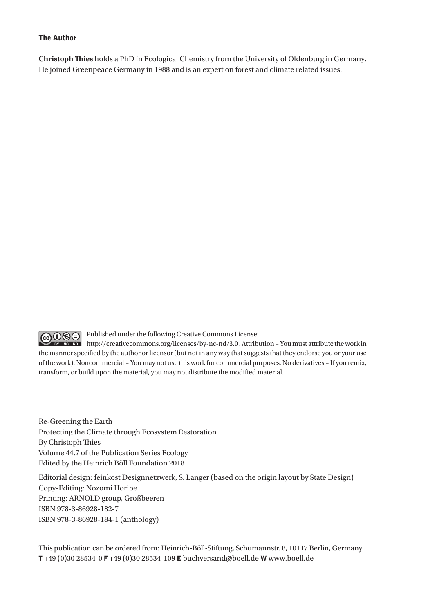#### The Author

**Christoph Thies** holds a PhD in Ecological Chemistry from the University of Oldenburg in Germany. He joined Greenpeace Germany in 1988 and is an expert on forest and climate related issues.

Published under the following Creative Commons License:

**@** 199 **EX NC ND** http://creativecommons.org/licenses/by-nc-nd/3.0 . Attribution – You must attribute the work in the manner specified by the author or licensor (but not in any way that suggests that they endorse you or your use of the work). Noncommercial – You may not use this work for commercial purposes. No derivatives – If you remix, transform, or build upon the material, you may not distribute the modified material.

Re-Greening the Earth Protecting the Climate through Ecosystem Restoration By Christoph Thies Volume 44.7 of the Publication Series Ecology Edited by the Heinrich Böll Foundation 2018

Editorial design: feinkost Designnetzwerk, S. Langer (based on the origin layout by State Design) Copy-Editing: Nozomi Horibe Printing: ARNOLD group, Großbeeren ISBN 978-3-86928-182-7 ISBN 978-3-86928-184-1 (anthology)

This publication can be ordered from: Heinrich-Böll-Stiftung, Schumannstr. 8, 10117 Berlin, Germany T +49 (0)30 28534-0 F +49 (0)30 28534-109 E buchversand@boell.de W www.boell.de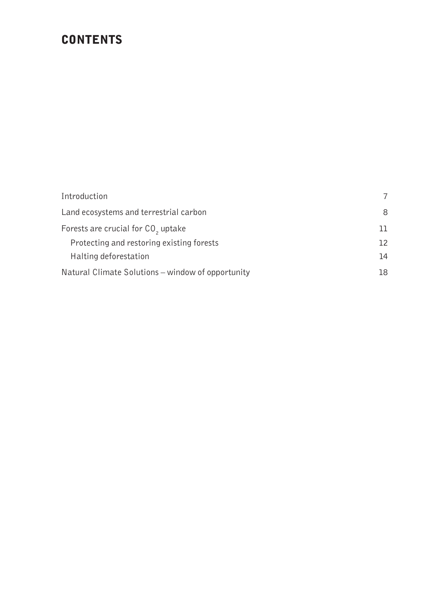## **CONTENTS**

| Introduction                                      | 7   |
|---------------------------------------------------|-----|
| Land ecosystems and terrestrial carbon            | 8   |
| Forests are crucial for CO <sub>2</sub> uptake    | ו ר |
| Protecting and restoring existing forests         | 12  |
| Halting deforestation                             | 14  |
| Natural Climate Solutions - window of opportunity | 18  |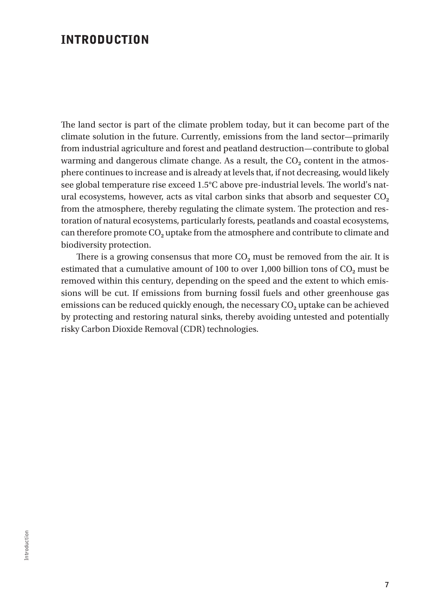## INTRODUCTION

The land sector is part of the climate problem today, but it can become part of the climate solution in the future. Currently, emissions from the land sector—primarily from industrial agriculture and forest and peatland destruction—contribute to global warming and dangerous climate change. As a result, the CO<sub>2</sub> content in the atmosphere continues to increase and is already at levels that, if not decreasing, would likely see global temperature rise exceed 1.5°C above pre-industrial levels. The world's natural ecosystems, however, acts as vital carbon sinks that absorb and sequester CO<sub>2</sub> from the atmosphere, thereby regulating the climate system. The protection and restoration of natural ecosystems, particularly forests, peatlands and coastal ecosystems, can therefore promote CO**2** uptake from the atmosphere and contribute to climate and biodiversity protection.

There is a growing consensus that more  $CO<sub>2</sub>$  must be removed from the air. It is estimated that a cumulative amount of 100 to over  $1,000$  billion tons of  $CO<sub>2</sub>$  must be removed within this century, depending on the speed and the extent to which emissions will be cut. If emissions from burning fossil fuels and other greenhouse gas emissions can be reduced quickly enough, the necessary CO<sub>2</sub> uptake can be achieved by protecting and restoring natural sinks, thereby avoiding untested and potentially risky Carbon Dioxide Removal (CDR) technologies.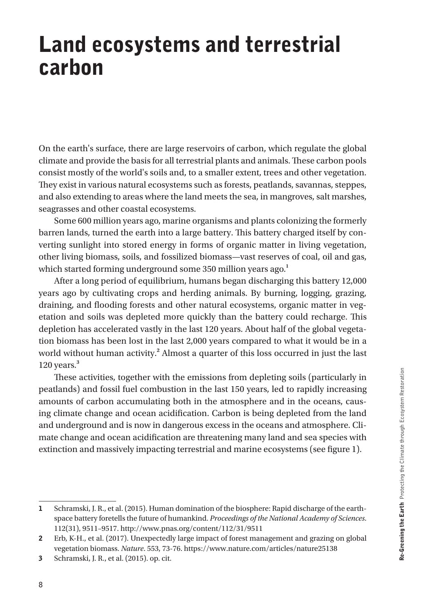# Land ecosystems and terrestrial carbon

On the earth's surface, there are large reservoirs of carbon, which regulate the global climate and provide the basis for all terrestrial plants and animals. These carbon pools consist mostly of the world's soils and, to a smaller extent, trees and other vegetation. They exist in various natural ecosystems such as forests, peatlands, savannas, steppes, and also extending to areas where the land meets the sea, in mangroves, salt marshes, seagrasses and other coastal ecosystems.

Some 600 million years ago, marine organisms and plants colonizing the formerly barren lands, turned the earth into a large battery. This battery charged itself by converting sunlight into stored energy in forms of organic matter in living vegetation, other living biomass, soils, and fossilized biomass—vast reserves of coal, oil and gas, which started forming underground some 350 million years ago.**<sup>1</sup>**

After a long period of equilibrium, humans began discharging this battery 12,000 years ago by cultivating crops and herding animals. By burning, logging, grazing, draining, and flooding forests and other natural ecosystems, organic matter in vegetation and soils was depleted more quickly than the battery could recharge. This depletion has accelerated vastly in the last 120 years. About half of the global vegetation biomass has been lost in the last 2,000 years compared to what it would be in a world without human activity.**<sup>2</sup>** Almost a quarter of this loss occurred in just the last 120 years.**<sup>3</sup>**

These activities, together with the emissions from depleting soils (particularly in peatlands) and fossil fuel combustion in the last 150 years, led to rapidly increasing amounts of carbon accumulating both in the atmosphere and in the oceans, causing climate change and ocean acidification. Carbon is being depleted from the land and underground and is now in dangerous excess in the oceans and atmosphere. Climate change and ocean acidification are threatening many land and sea species with extinction and massively impacting terrestrial and marine ecosystems (see figure 1).

<sup>1</sup> Schramski, J. R., et al. (2015). Human domination of the biosphere: Rapid discharge of the earthspace battery foretells the future of humankind. *Proceedings of the National Academy of Sciences*. 112(31), 9511–9517. http://www.pnas.org/content/112/31/9511

<sup>2</sup> Erb, K-H., et al. (2017). Unexpectedly large impact of forest management and grazing on global vegetation biomass. *Nature*. 553, 73-76. https://www.nature.com/articles/nature25138

<sup>3</sup> Schramski, J. R., et al. (2015). op. cit.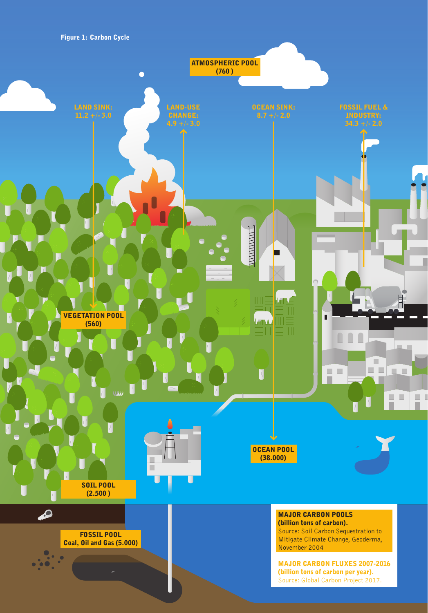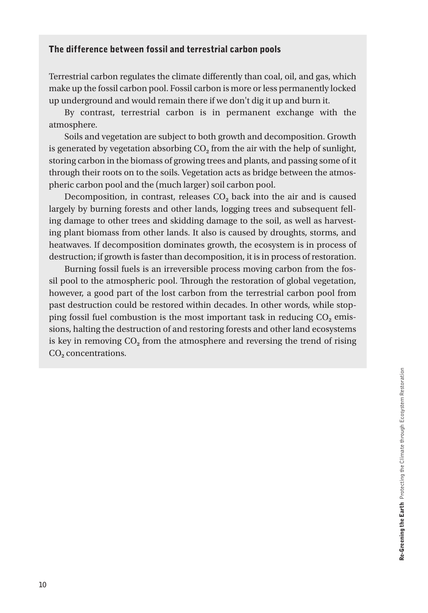#### The difference between fossil and terrestrial carbon pools

Terrestrial carbon regulates the climate differently than coal, oil, and gas, which make up the fossil carbon pool. Fossil carbon is more or less permanently locked up underground and would remain there if we don't dig it up and burn it.

By contrast, terrestrial carbon is in permanent exchange with the atmosphere.

Soils and vegetation are subject to both growth and decomposition. Growth is generated by vegetation absorbing CO**2** from the air with the help of sunlight, storing carbon in the biomass of growing trees and plants, and passing some of it through their roots on to the soils. Vegetation acts as bridge between the atmospheric carbon pool and the (much larger) soil carbon pool.

Decomposition, in contrast, releases CO<sub>2</sub> back into the air and is caused largely by burning forests and other lands, logging trees and subsequent felling damage to other trees and skidding damage to the soil, as well as harvesting plant biomass from other lands. It also is caused by droughts, storms, and heatwaves. If decomposition dominates growth, the ecosystem is in process of destruction; if growth is faster than decomposition, it is in process of restoration.

Burning fossil fuels is an irreversible process moving carbon from the fossil pool to the atmospheric pool. Through the restoration of global vegetation, however, a good part of the lost carbon from the terrestrial carbon pool from past destruction could be restored within decades. In other words, while stopping fossil fuel combustion is the most important task in reducing CO<sub>2</sub> emissions, halting the destruction of and restoring forests and other land ecosystems is key in removing CO<sub>2</sub> from the atmosphere and reversing the trend of rising CO**2** concentrations.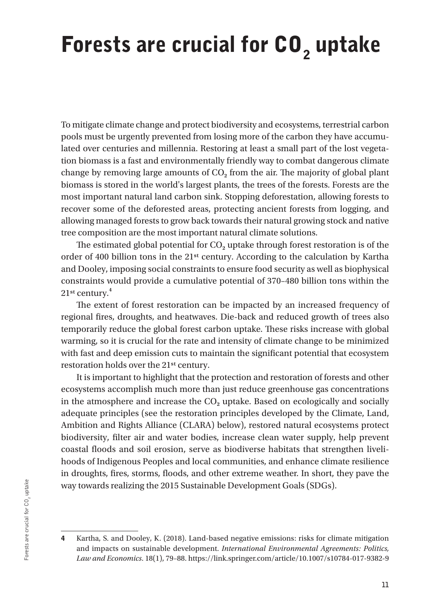# Forests are crucial for CO<sub>2</sub> uptake

To mitigate climate change and protect biodiversity and ecosystems, terrestrial carbon pools must be urgently prevented from losing more of the carbon they have accumulated over centuries and millennia. Restoring at least a small part of the lost vegetation biomass is a fast and environmentally friendly way to combat dangerous climate change by removing large amounts of CO**2** from the air. The majority of global plant biomass is stored in the world's largest plants, the trees of the forests. Forests are the most important natural land carbon sink. Stopping deforestation, allowing forests to recover some of the deforested areas, protecting ancient forests from logging, and allowing managed forests to grow back towards their natural growing stock and native tree composition are the most important natural climate solutions.

The estimated global potential for  $CO<sub>2</sub>$  uptake through forest restoration is of the order of 400 billion tons in the 21st century. According to the calculation by Kartha and Dooley, imposing social constraints to ensure food security as well as biophysical constraints would provide a cumulative potential of 370–480 billion tons within the 21st century.**<sup>4</sup>**

The extent of forest restoration can be impacted by an increased frequency of regional fires, droughts, and heatwaves. Die-back and reduced growth of trees also temporarily reduce the global forest carbon uptake. These risks increase with global warming, so it is crucial for the rate and intensity of climate change to be minimized with fast and deep emission cuts to maintain the significant potential that ecosystem restoration holds over the 21st century.

It is important to highlight that the protection and restoration of forests and other ecosystems accomplish much more than just reduce greenhouse gas concentrations in the atmosphere and increase the  $CO<sub>2</sub>$  uptake. Based on ecologically and socially adequate principles (see the restoration principles developed by the Climate, Land, Ambition and Rights Alliance (CLARA) below), restored natural ecosystems protect biodiversity, filter air and water bodies, increase clean water supply, help prevent coastal floods and soil erosion, serve as biodiverse habitats that strengthen livelihoods of Indigenous Peoples and local communities, and enhance climate resilience in droughts, fires, storms, floods, and other extreme weather. In short, they pave the way towards realizing the 2015 Sustainable Development Goals (SDGs).

<sup>4</sup> Kartha, S. and Dooley, K. (2018). Land-based negative emissions: risks for climate mitigation and impacts on sustainable development. *International Environmental Agreements: Politics, Law and Economics*. 18(1), 79–88. https://link.springer.com/article/10.1007/s10784-017-9382-9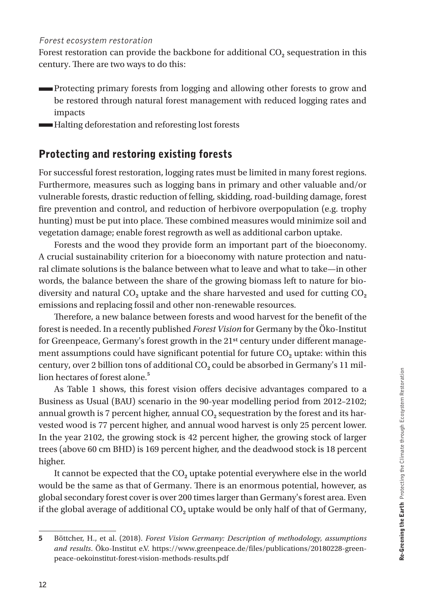#### Forest ecosystem restoration

Forest restoration can provide the backbone for additional CO<sub>2</sub> sequestration in this century. There are two ways to do this:

- Protecting primary forests from logging and allowing other forests to grow and be restored through natural forest management with reduced logging rates and impacts
- Halting deforestation and reforesting lost forests

## Protecting and restoring existing forests

For successful forest restoration, logging rates must be limited in many forest regions. Furthermore, measures such as logging bans in primary and other valuable and/or vulnerable forests, drastic reduction of felling, skidding, road-building damage, forest fire prevention and control, and reduction of herbivore overpopulation (e.g. trophy hunting) must be put into place. These combined measures would minimize soil and vegetation damage; enable forest regrowth as well as additional carbon uptake.

Forests and the wood they provide form an important part of the bioeconomy. A crucial sustainability criterion for a bioeconomy with nature protection and natural climate solutions is the balance between what to leave and what to take—in other words, the balance between the share of the growing biomass left to nature for biodiversity and natural CO<sub>2</sub> uptake and the share harvested and used for cutting CO<sub>2</sub> emissions and replacing fossil and other non-renewable resources.

Therefore, a new balance between forests and wood harvest for the benefit of the forest is needed. In a recently published *Forest Vision* for Germany by the Öko-Institut for Greenpeace, Germany's forest growth in the 21st century under different management assumptions could have significant potential for future  $CO<sub>2</sub>$  uptake: within this century, over 2 billion tons of additional CO**2** could be absorbed in Germany's 11 million hectares of forest alone.**<sup>5</sup>**

As Table 1 shows, this forest vision offers decisive advantages compared to a Business as Usual (BAU) scenario in the 90-year modelling period from 2012–2102; annual growth is 7 percent higher, annual CO<sub>2</sub> sequestration by the forest and its harvested wood is 77 percent higher, and annual wood harvest is only 25 percent lower. In the year 2102, the growing stock is 42 percent higher, the growing stock of larger trees (above 60 cm BHD) is 169 percent higher, and the deadwood stock is 18 percent higher.

It cannot be expected that the CO<sub>2</sub> uptake potential everywhere else in the world would be the same as that of Germany. There is an enormous potential, however, as global secondary forest cover is over 200 times larger than Germany's forest area. Even if the global average of additional CO<sub>2</sub> uptake would be only half of that of Germany,

<sup>5</sup> Böttcher, H., et al. (2018). *Forest Vision Germany: Description of methodology, assumptions*  and results. Öko-Institut e.V. https://www.greenpeace.de/files/publications/20180228-greenpeace-oekoinstitut-forest-vision-methods-results.pdf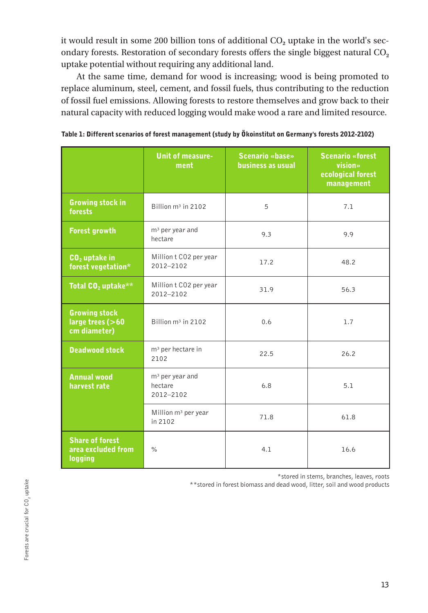it would result in some 200 billion tons of additional CO<sub>2</sub> uptake in the world's secondary forests. Restoration of secondary forests offers the single biggest natural CO**<sup>2</sup>** uptake potential without requiring any additional land.

At the same time, demand for wood is increasing; wood is being promoted to replace aluminum, steel, cement, and fossil fuels, thus contributing to the reduction of fossil fuel emissions. Allowing forests to restore themselves and grow back to their natural capacity with reduced logging would make wood a rare and limited resource.

|                                                          | <b>Unit of measure-</b><br>ment                                   | <b>Scenario «base»</b><br>business as usual | <b>Scenario «forest</b><br>vision»<br>ecological forest<br>management |  |
|----------------------------------------------------------|-------------------------------------------------------------------|---------------------------------------------|-----------------------------------------------------------------------|--|
| <b>Growing stock in</b><br>forests                       | Billion m <sup>3</sup> in 2102                                    | 5                                           | 7.1                                                                   |  |
| <b>Forest growth</b>                                     | $m3$ per year and<br>9.3<br>9.9<br>hectare                        |                                             |                                                                       |  |
| $CO2$ uptake in<br>forest vegetation*                    | Million t CO2 per year<br>17.2<br>2012-2102                       |                                             | 48.2                                                                  |  |
| Total CO <sub>2</sub> uptake**                           | Million t CO2 per year<br>31.9<br>2012-2102                       |                                             | 56.3                                                                  |  |
| <b>Growing stock</b><br>large trees (>60<br>cm diameter) | Billion m <sup>3</sup> in 2102                                    | 0.6                                         | 1.7                                                                   |  |
| <b>Deadwood stock</b>                                    | m <sup>3</sup> per hectare in<br>2102                             | 22.5<br>26.2                                |                                                                       |  |
| <b>Annual wood</b><br>harvest rate                       | m <sup>3</sup> per year and<br>hectare<br>6.8<br>5.1<br>2012-2102 |                                             |                                                                       |  |
|                                                          | Million m <sup>3</sup> per year<br>in 2102                        | 71.8                                        | 61.8                                                                  |  |
| <b>Share of forest</b><br>area excluded from<br>logging  | $\%$                                                              | 4.1                                         | 16.6                                                                  |  |

| Table 1: Different scenarios of forest management (study by Ökoinstitut on Germany's forests 2012-2102) |  |  |
|---------------------------------------------------------------------------------------------------------|--|--|
|                                                                                                         |  |  |
|                                                                                                         |  |  |
|                                                                                                         |  |  |

\*stored in stems, branches, leaves, roots

\*\*stored in forest biomass and dead wood, litter, soil and wood products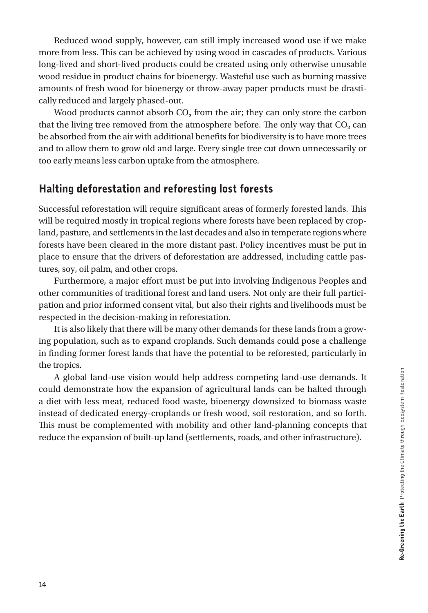Reduced wood supply, however, can still imply increased wood use if we make more from less. This can be achieved by using wood in cascades of products. Various long-lived and short-lived products could be created using only otherwise unusable wood residue in product chains for bioenergy. Wasteful use such as burning massive amounts of fresh wood for bioenergy or throw-away paper products must be drastically reduced and largely phased-out.

Wood products cannot absorb CO<sub>2</sub> from the air; they can only store the carbon that the living tree removed from the atmosphere before. The only way that CO<sub>2</sub> can be absorbed from the air with additional benefits for biodiversity is to have more trees and to allow them to grow old and large. Every single tree cut down unnecessarily or too early means less carbon uptake from the atmosphere.

## Halting deforestation and reforesting lost forests

Successful reforestation will require significant areas of formerly forested lands. This will be required mostly in tropical regions where forests have been replaced by cropland, pasture, and settlements in the last decades and also in temperate regions where forests have been cleared in the more distant past. Policy incentives must be put in place to ensure that the drivers of deforestation are addressed, including cattle pastures, soy, oil palm, and other crops.

Furthermore, a major effort must be put into involving Indigenous Peoples and other communities of traditional forest and land users. Not only are their full participation and prior informed consent vital, but also their rights and livelihoods must be respected in the decision-making in reforestation.

It is also likely that there will be many other demands for these lands from a growing population, such as to expand croplands. Such demands could pose a challenge in finding former forest lands that have the potential to be reforested, particularly in the tropics.

A global land-use vision would help address competing land-use demands. It could demonstrate how the expansion of agricultural lands can be halted through a diet with less meat, reduced food waste, bioenergy downsized to biomass waste instead of dedicated energy-croplands or fresh wood, soil restoration, and so forth. This must be complemented with mobility and other land-planning concepts that reduce the expansion of built-up land (settlements, roads, and other infrastructure).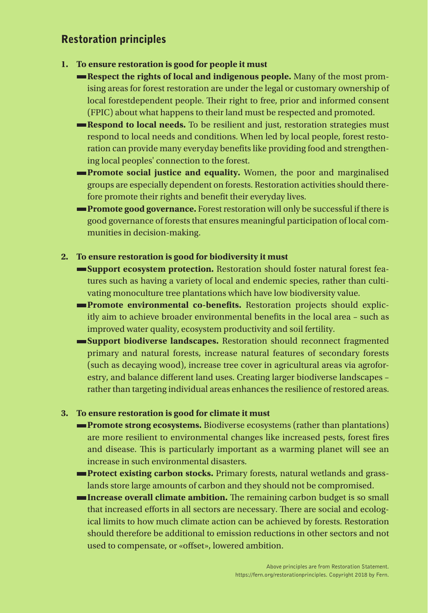## Restoration principles

- **1. To ensure restoration is good for people it must**
	- **Respect the rights of local and indigenous people.** Many of the most promising areas for forest restoration are under the legal or customary ownership of local forestdependent people. Their right to free, prior and informed consent (FPIC) about what happens to their land must be respected and promoted.
	- **Respond to local needs.** To be resilient and just, restoration strategies must respond to local needs and conditions. When led by local people, forest restoration can provide many everyday benefits like providing food and strengthening local peoples' connection to the forest.
	- **Promote social justice and equality.** Women, the poor and marginalised groups are especially dependent on forests. Restoration activities should therefore promote their rights and benefit their everyday lives.
	- **Promote good governance.** Forest restoration will only be successful if there is good governance of forests that ensures meaningful participation of local communities in decision-making.

#### **2. To ensure restoration is good for biodiversity it must**

- **Support ecosystem protection.** Restoration should foster natural forest features such as having a variety of local and endemic species, rather than cultivating monoculture tree plantations which have low biodiversity value.
- **Promote environmental co-benefits.** Restoration projects should explicitly aim to achieve broader environmental benefits in the local area – such as improved water quality, ecosystem productivity and soil fertility.
- **Support biodiverse landscapes.** Restoration should reconnect fragmented primary and natural forests, increase natural features of secondary forests (such as decaying wood), increase tree cover in agricultural areas via agroforestry, and balance different land uses. Creating larger biodiverse landscapes – rather than targeting individual areas enhances the resilience of restored areas.

#### **3. To ensure restoration is good for climate it must**

- **Promote strong ecosystems.** Biodiverse ecosystems (rather than plantations) are more resilient to environmental changes like increased pests, forest fires and disease. This is particularly important as a warming planet will see an increase in such environmental disasters.
- **Protect existing carbon stocks.** Primary forests, natural wetlands and grasslands store large amounts of carbon and they should not be compromised.
- **Increase overall climate ambition.** The remaining carbon budget is so small that increased efforts in all sectors are necessary. There are social and ecological limits to how much climate action can be achieved by forests. Restoration should therefore be additional to emission reductions in other sectors and not used to compensate, or «offset», lowered ambition.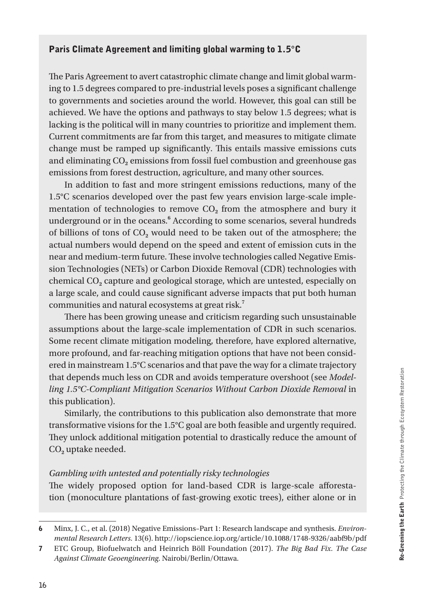## Paris Climate Agreement and limiting global warming to 1.5°C

The Paris Agreement to avert catastrophic climate change and limit global warming to 1.5 degrees compared to pre-industrial levels poses a significant challenge to governments and societies around the world. However, this goal can still be achieved. We have the options and pathways to stay below 1.5 degrees; what is lacking is the political will in many countries to prioritize and implement them. Current commitments are far from this target, and measures to mitigate climate change must be ramped up significantly. This entails massive emissions cuts and eliminating CO<sub>2</sub> emissions from fossil fuel combustion and greenhouse gas emissions from forest destruction, agriculture, and many other sources.

In addition to fast and more stringent emissions reductions, many of the 1.5°C scenarios developed over the past few years envision large-scale implementation of technologies to remove CO**2** from the atmosphere and bury it underground or in the oceans.**<sup>6</sup>** According to some scenarios, several hundreds of billions of tons of CO**2** would need to be taken out of the atmosphere; the actual numbers would depend on the speed and extent of emission cuts in the near and medium-term future. These involve technologies called Negative Emission Technologies (NETs) or Carbon Dioxide Removal (CDR) technologies with chemical CO**2** capture and geological storage, which are untested, especially on a large scale, and could cause significant adverse impacts that put both human communities and natural ecosystems at great risk.**<sup>7</sup>**

There has been growing unease and criticism regarding such unsustainable assumptions about the large-scale implementation of CDR in such scenarios. Some recent climate mitigation modeling, therefore, have explored alternative, more profound, and far-reaching mitigation options that have not been considered in mainstream 1.5°C scenarios and that pave the way for a climate trajectory that depends much less on CDR and avoids temperature overshoot (see *Modelling 1.5°C-Compliant Mitigation Scenarios Without Carbon Dioxide Removal* in this publication).

Similarly, the contributions to this publication also demonstrate that more transformative visions for the 1.5°C goal are both feasible and urgently required. They unlock additional mitigation potential to drastically reduce the amount of CO**2** uptake needed.

#### *Gambling with untested and potentially risky technologies*

The widely proposed option for land-based CDR is large-scale afforestation (monoculture plantations of fast-growing exotic trees), either alone or in

<sup>6</sup> Minx, J. C., et al. (2018) Negative Emissions–Part 1: Research landscape and synthesis. *Environmental Research Letters*. 13(6). http://iopscience.iop.org/article/10.1088/1748-9326/aabf9b/pdf

<sup>7</sup> ETC Group, Biofuelwatch and Heinrich Böll Foundation (2017). *The Big Bad Fix. The Case Against Climate Geoengineering*. Nairobi/Berlin/Ottawa.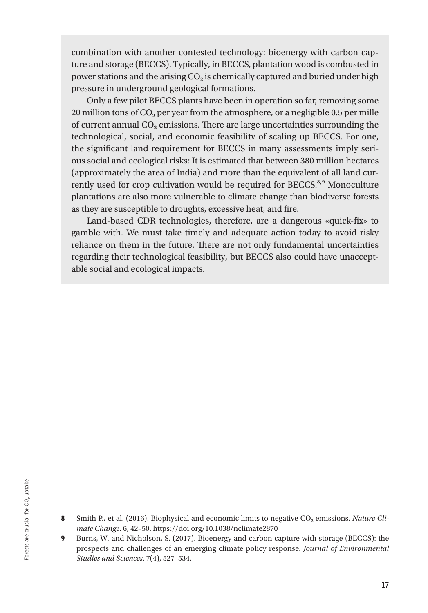combination with another contested technology: bioenergy with carbon capture and storage (BECCS). Typically, in BECCS, plantation wood is combusted in power stations and the arising CO<sub>2</sub> is chemically captured and buried under high pressure in underground geological formations.

Only a few pilot BECCS plants have been in operation so far, removing some 20 million tons of CO**2** per year from the atmosphere, or a negligible 0.5 per mille of current annual CO**2** emissions. There are large uncertainties surrounding the technological, social, and economic feasibility of scaling up BECCS. For one, the significant land requirement for BECCS in many assessments imply serious social and ecological risks: It is estimated that between 380 million hectares (approximately the area of India) and more than the equivalent of all land currently used for crop cultivation would be required for BECCS.<sup>8,9</sup> Monoculture , plantations are also more vulnerable to climate change than biodiverse forests as they are susceptible to droughts, excessive heat, and fire.

Land-based CDR technologies, therefore, are a dangerous «quick-fix» to gamble with. We must take timely and adequate action today to avoid risky reliance on them in the future. There are not only fundamental uncertainties regarding their technological feasibility, but BECCS also could have unacceptable social and ecological impacts.

<sup>8</sup> Smith P., et al. (2016). Biophysical and economic limits to negative CO<sub>2</sub> emissions. *Nature Climate Change*. 6, 42–50. https://doi.org/10.1038/nclimate2870

<sup>9</sup> Burns, W. and Nicholson, S. (2017). Bioenergy and carbon capture with storage (BECCS): the prospects and challenges of an emerging climate policy response. *Journal of Environmental Studies and Sciences*. 7(4), 527–534.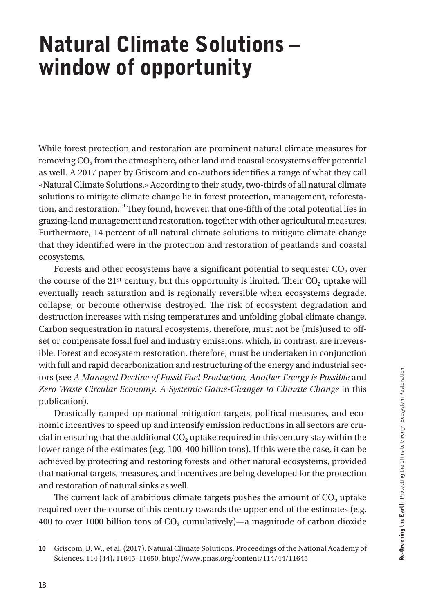# Natural Climate Solutions – window of opportunity

While forest protection and restoration are prominent natural climate measures for removing CO**2** from the atmosphere, other land and coastal ecosystems offer potential as well. A 2017 paper by Griscom and co-authors identifies a range of what they call «Natural Climate Solutions.» According to their study, two-thirds of all natural climate solutions to mitigate climate change lie in forest protection, management, reforestation, and restoration.**<sup>10</sup>** They found, however, that one-fifth of the total potential lies in grazing-land management and restoration, together with other agricultural measures. Furthermore, 14 percent of all natural climate solutions to mitigate climate change that they identified were in the protection and restoration of peatlands and coastal ecosystems.

Forests and other ecosystems have a significant potential to sequester CO<sub>2</sub> over the course of the  $21^{st}$  century, but this opportunity is limited. Their  $CO<sub>2</sub>$  uptake will eventually reach saturation and is regionally reversible when ecosystems degrade, collapse, or become otherwise destroyed. The risk of ecosystem degradation and destruction increases with rising temperatures and unfolding global climate change. Carbon sequestration in natural ecosystems, therefore, must not be (mis)used to offset or compensate fossil fuel and industry emissions, which, in contrast, are irreversible. Forest and ecosystem restoration, therefore, must be undertaken in conjunction with full and rapid decarbonization and restructuring of the energy and industrial sectors (see *A Managed Decline of Fossil Fuel Production, Another Energy is Possible* and *Zero Waste Circular Economy. A Systemic Game-Changer to Climate Change* in this publication).

Drastically ramped-up national mitigation targets, political measures, and economic incentives to speed up and intensify emission reductions in all sectors are crucial in ensuring that the additional CO**2** uptake required in this century stay within the lower range of the estimates (e.g. 100–400 billion tons). If this were the case, it can be achieved by protecting and restoring forests and other natural ecosystems, provided that national targets, measures, and incentives are being developed for the protection and restoration of natural sinks as well.

The current lack of ambitious climate targets pushes the amount of CO**2** uptake required over the course of this century towards the upper end of the estimates (e.g. 400 to over 1000 billion tons of CO**2** cumulatively)—a magnitude of carbon dioxide

<sup>10</sup> Griscom, B. W., et al. (2017). Natural Climate Solutions. Proceedings of the National Academy of Sciences. 114 (44), 11645–11650. http://www.pnas.org/content/114/44/11645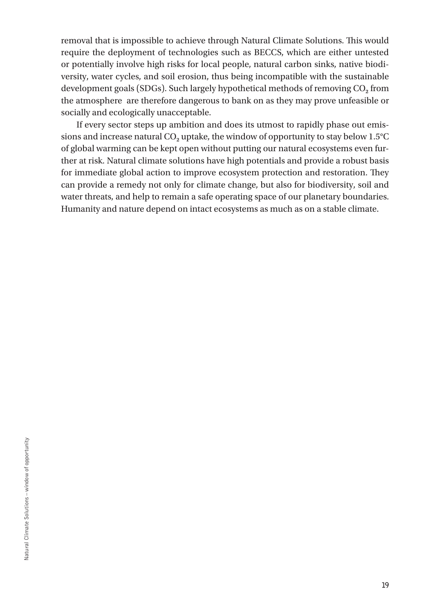removal that is impossible to achieve through Natural Climate Solutions. This would require the deployment of technologies such as BECCS, which are either untested or potentially involve high risks for local people, natural carbon sinks, native biodiversity, water cycles, and soil erosion, thus being incompatible with the sustainable development goals (SDGs). Such largely hypothetical methods of removing CO<sub>2</sub> from the atmosphere are therefore dangerous to bank on as they may prove unfeasible or socially and ecologically unacceptable.

If every sector steps up ambition and does its utmost to rapidly phase out emissions and increase natural  $CO<sub>2</sub>$  uptake, the window of opportunity to stay below  $1.5^{\circ}$ C of global warming can be kept open without putting our natural ecosystems even further at risk. Natural climate solutions have high potentials and provide a robust basis for immediate global action to improve ecosystem protection and restoration. They can provide a remedy not only for climate change, but also for biodiversity, soil and water threats, and help to remain a safe operating space of our planetary boundaries. Humanity and nature depend on intact ecosystems as much as on a stable climate.